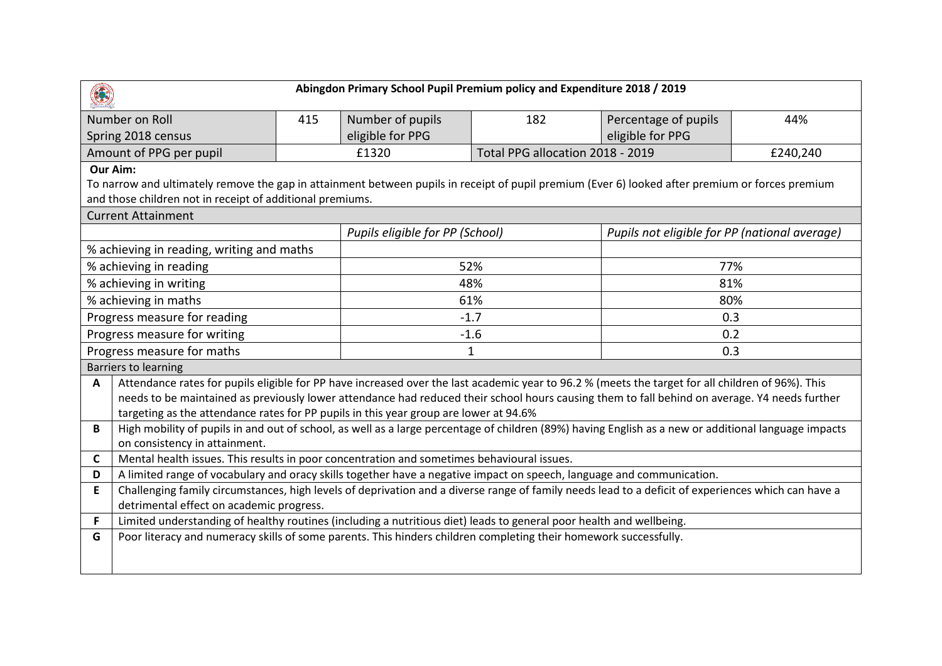| Abingdon Primary School Pupil Premium policy and Expenditure 2018 / 2019                                                                                                                            |                                                                                                                                                           |                  |                                  |                      |                                               |  |
|-----------------------------------------------------------------------------------------------------------------------------------------------------------------------------------------------------|-----------------------------------------------------------------------------------------------------------------------------------------------------------|------------------|----------------------------------|----------------------|-----------------------------------------------|--|
| Number on Roll                                                                                                                                                                                      | 415                                                                                                                                                       | Number of pupils | 182                              | Percentage of pupils | 44%                                           |  |
| Spring 2018 census                                                                                                                                                                                  |                                                                                                                                                           | eligible for PPG |                                  | eligible for PPG     |                                               |  |
| Amount of PPG per pupil                                                                                                                                                                             |                                                                                                                                                           | £1320            | Total PPG allocation 2018 - 2019 |                      | £240,240                                      |  |
| Our Aim:                                                                                                                                                                                            |                                                                                                                                                           |                  |                                  |                      |                                               |  |
| To narrow and ultimately remove the gap in attainment between pupils in receipt of pupil premium (Ever 6) looked after premium or forces premium                                                    |                                                                                                                                                           |                  |                                  |                      |                                               |  |
| and those children not in receipt of additional premiums.                                                                                                                                           |                                                                                                                                                           |                  |                                  |                      |                                               |  |
| <b>Current Attainment</b>                                                                                                                                                                           |                                                                                                                                                           |                  |                                  |                      |                                               |  |
|                                                                                                                                                                                                     |                                                                                                                                                           |                  | Pupils eligible for PP (School)  |                      | Pupils not eligible for PP (national average) |  |
| % achieving in reading, writing and maths                                                                                                                                                           |                                                                                                                                                           |                  |                                  |                      |                                               |  |
| % achieving in reading                                                                                                                                                                              |                                                                                                                                                           | 52%              |                                  | 77%                  |                                               |  |
| % achieving in writing                                                                                                                                                                              |                                                                                                                                                           | 48%              |                                  | 81%                  |                                               |  |
| % achieving in maths                                                                                                                                                                                |                                                                                                                                                           | 61%              |                                  | 80%                  |                                               |  |
| Progress measure for reading                                                                                                                                                                        |                                                                                                                                                           | $-1.7$           |                                  | 0.3                  |                                               |  |
| Progress measure for writing                                                                                                                                                                        |                                                                                                                                                           |                  | $-1.6$                           |                      | 0.2                                           |  |
| Progress measure for maths                                                                                                                                                                          |                                                                                                                                                           |                  | 1                                | 0.3                  |                                               |  |
| <b>Barriers to learning</b>                                                                                                                                                                         |                                                                                                                                                           |                  |                                  |                      |                                               |  |
| Attendance rates for pupils eligible for PP have increased over the last academic year to 96.2 % (meets the target for all children of 96%). This<br>$\mathbf{A}$                                   |                                                                                                                                                           |                  |                                  |                      |                                               |  |
|                                                                                                                                                                                                     | needs to be maintained as previously lower attendance had reduced their school hours causing them to fall behind on average. Y4 needs further             |                  |                                  |                      |                                               |  |
| targeting as the attendance rates for PP pupils in this year group are lower at 94.6%                                                                                                               |                                                                                                                                                           |                  |                                  |                      |                                               |  |
|                                                                                                                                                                                                     | High mobility of pupils in and out of school, as well as a large percentage of children (89%) having English as a new or additional language impacts<br>B |                  |                                  |                      |                                               |  |
| on consistency in attainment.                                                                                                                                                                       |                                                                                                                                                           |                  |                                  |                      |                                               |  |
| Mental health issues. This results in poor concentration and sometimes behavioural issues.<br>C                                                                                                     |                                                                                                                                                           |                  |                                  |                      |                                               |  |
| A limited range of vocabulary and oracy skills together have a negative impact on speech, language and communication.<br>D                                                                          |                                                                                                                                                           |                  |                                  |                      |                                               |  |
| E<br>Challenging family circumstances, high levels of deprivation and a diverse range of family needs lead to a deficit of experiences which can have a<br>detrimental effect on academic progress. |                                                                                                                                                           |                  |                                  |                      |                                               |  |
| Limited understanding of healthy routines (including a nutritious diet) leads to general poor health and wellbeing.<br>F                                                                            |                                                                                                                                                           |                  |                                  |                      |                                               |  |
| Poor literacy and numeracy skills of some parents. This hinders children completing their homework successfully.<br>G                                                                               |                                                                                                                                                           |                  |                                  |                      |                                               |  |
|                                                                                                                                                                                                     |                                                                                                                                                           |                  |                                  |                      |                                               |  |
|                                                                                                                                                                                                     |                                                                                                                                                           |                  |                                  |                      |                                               |  |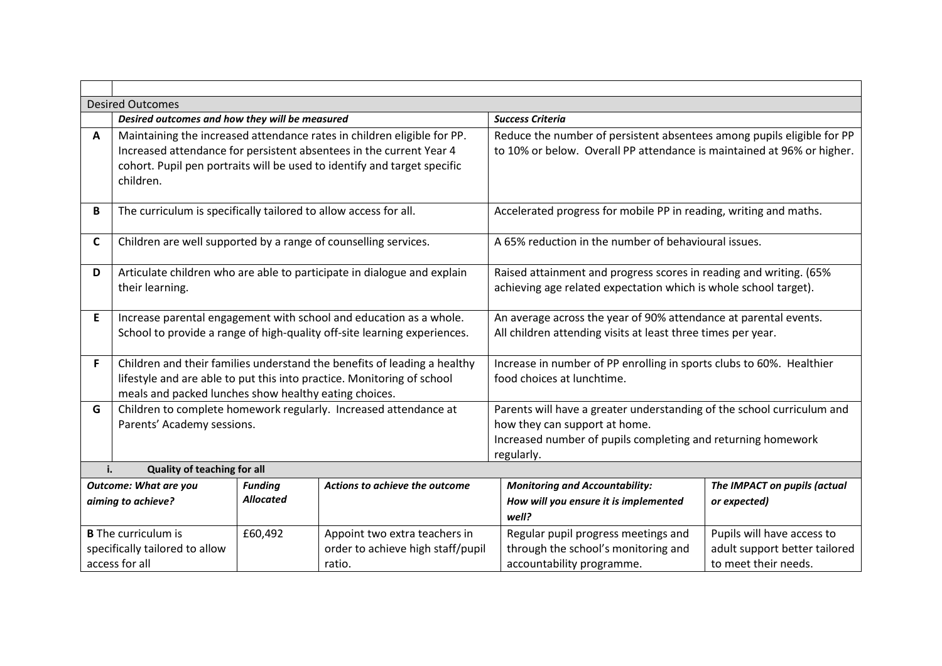|                                                                                | <b>Desired Outcomes</b>                                                                                                                                                                                                                 |                                    |                                                                              |                                                                                                                                                                                       |                                                                                     |  |
|--------------------------------------------------------------------------------|-----------------------------------------------------------------------------------------------------------------------------------------------------------------------------------------------------------------------------------------|------------------------------------|------------------------------------------------------------------------------|---------------------------------------------------------------------------------------------------------------------------------------------------------------------------------------|-------------------------------------------------------------------------------------|--|
|                                                                                | Desired outcomes and how they will be measured<br><b>Success Criteria</b>                                                                                                                                                               |                                    |                                                                              |                                                                                                                                                                                       |                                                                                     |  |
| A                                                                              | Maintaining the increased attendance rates in children eligible for PP.<br>Increased attendance for persistent absentees in the current Year 4<br>cohort. Pupil pen portraits will be used to identify and target specific<br>children. |                                    |                                                                              | Reduce the number of persistent absentees among pupils eligible for PP<br>to 10% or below. Overall PP attendance is maintained at 96% or higher.                                      |                                                                                     |  |
| B                                                                              | The curriculum is specifically tailored to allow access for all.                                                                                                                                                                        |                                    |                                                                              | Accelerated progress for mobile PP in reading, writing and maths.                                                                                                                     |                                                                                     |  |
| $\mathsf{C}$                                                                   | Children are well supported by a range of counselling services.                                                                                                                                                                         |                                    |                                                                              | A 65% reduction in the number of behavioural issues.                                                                                                                                  |                                                                                     |  |
| D                                                                              | Articulate children who are able to participate in dialogue and explain<br>their learning.                                                                                                                                              |                                    |                                                                              | Raised attainment and progress scores in reading and writing. (65%<br>achieving age related expectation which is whole school target).                                                |                                                                                     |  |
| E                                                                              | Increase parental engagement with school and education as a whole.<br>School to provide a range of high-quality off-site learning experiences.                                                                                          |                                    |                                                                              | An average across the year of 90% attendance at parental events.<br>All children attending visits at least three times per year.                                                      |                                                                                     |  |
| F                                                                              | Children and their families understand the benefits of leading a healthy<br>lifestyle and are able to put this into practice. Monitoring of school<br>meals and packed lunches show healthy eating choices.                             |                                    |                                                                              | Increase in number of PP enrolling in sports clubs to 60%. Healthier<br>food choices at lunchtime.                                                                                    |                                                                                     |  |
| G                                                                              | Children to complete homework regularly. Increased attendance at<br>Parents' Academy sessions.                                                                                                                                          |                                    |                                                                              | Parents will have a greater understanding of the school curriculum and<br>how they can support at home.<br>Increased number of pupils completing and returning homework<br>regularly. |                                                                                     |  |
| i.                                                                             | <b>Quality of teaching for all</b>                                                                                                                                                                                                      |                                    |                                                                              |                                                                                                                                                                                       |                                                                                     |  |
|                                                                                | <b>Outcome: What are you</b><br>aiming to achieve?                                                                                                                                                                                      | <b>Funding</b><br><b>Allocated</b> | Actions to achieve the outcome                                               | <b>Monitoring and Accountability:</b><br>How will you ensure it is implemented<br>well?                                                                                               | The IMPACT on pupils (actual<br>or expected)                                        |  |
| <b>B</b> The curriculum is<br>specifically tailored to allow<br>access for all |                                                                                                                                                                                                                                         | £60,492                            | Appoint two extra teachers in<br>order to achieve high staff/pupil<br>ratio. | Regular pupil progress meetings and<br>through the school's monitoring and<br>accountability programme.                                                                               | Pupils will have access to<br>adult support better tailored<br>to meet their needs. |  |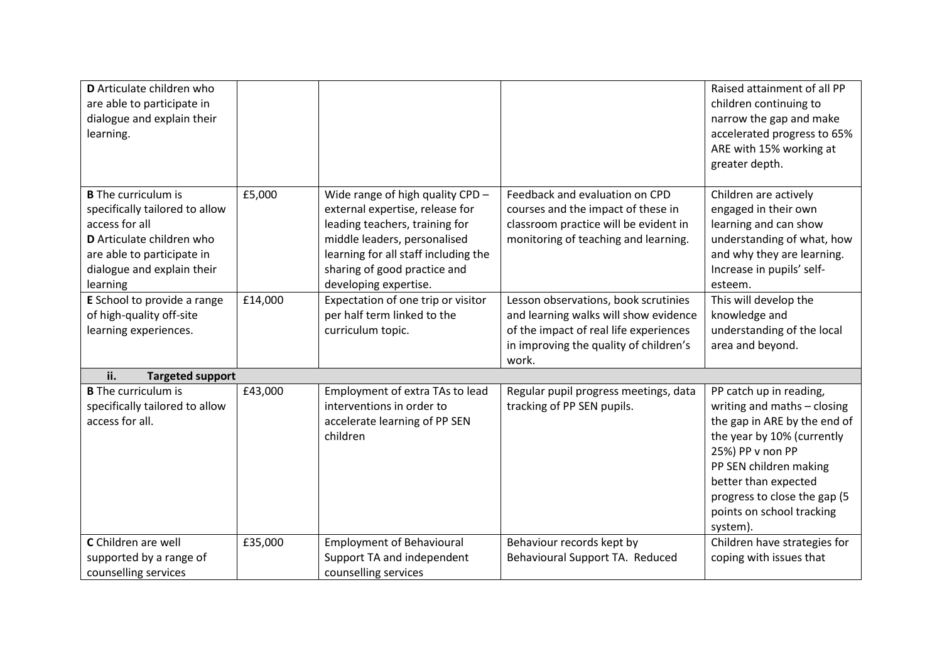| D Articulate children who<br>are able to participate in<br>dialogue and explain their<br>learning.                                                                                  |         |                                                                                                                                                                                                                                        |                                                                                                                                                                            | Raised attainment of all PP<br>children continuing to<br>narrow the gap and make<br>accelerated progress to 65%<br>ARE with 15% working at<br>greater depth.                                                                                                        |
|-------------------------------------------------------------------------------------------------------------------------------------------------------------------------------------|---------|----------------------------------------------------------------------------------------------------------------------------------------------------------------------------------------------------------------------------------------|----------------------------------------------------------------------------------------------------------------------------------------------------------------------------|---------------------------------------------------------------------------------------------------------------------------------------------------------------------------------------------------------------------------------------------------------------------|
| <b>B</b> The curriculum is<br>specifically tailored to allow<br>access for all<br>D Articulate children who<br>are able to participate in<br>dialogue and explain their<br>learning | £5,000  | Wide range of high quality CPD -<br>external expertise, release for<br>leading teachers, training for<br>middle leaders, personalised<br>learning for all staff including the<br>sharing of good practice and<br>developing expertise. | Feedback and evaluation on CPD<br>courses and the impact of these in<br>classroom practice will be evident in<br>monitoring of teaching and learning.                      | Children are actively<br>engaged in their own<br>learning and can show<br>understanding of what, how<br>and why they are learning.<br>Increase in pupils' self-<br>esteem.                                                                                          |
| E School to provide a range<br>of high-quality off-site<br>learning experiences.                                                                                                    | £14,000 | Expectation of one trip or visitor<br>per half term linked to the<br>curriculum topic.                                                                                                                                                 | Lesson observations, book scrutinies<br>and learning walks will show evidence<br>of the impact of real life experiences<br>in improving the quality of children's<br>work. | This will develop the<br>knowledge and<br>understanding of the local<br>area and beyond.                                                                                                                                                                            |
| ii.<br><b>Targeted support</b>                                                                                                                                                      |         |                                                                                                                                                                                                                                        |                                                                                                                                                                            |                                                                                                                                                                                                                                                                     |
| <b>B</b> The curriculum is<br>specifically tailored to allow<br>access for all.                                                                                                     | £43,000 | Employment of extra TAs to lead<br>interventions in order to<br>accelerate learning of PP SEN<br>children                                                                                                                              | Regular pupil progress meetings, data<br>tracking of PP SEN pupils.                                                                                                        | PP catch up in reading,<br>writing and maths - closing<br>the gap in ARE by the end of<br>the year by 10% (currently<br>25%) PP v non PP<br>PP SEN children making<br>better than expected<br>progress to close the gap (5<br>points on school tracking<br>system). |
| C Children are well<br>supported by a range of<br>counselling services                                                                                                              | £35,000 | <b>Employment of Behavioural</b><br>Support TA and independent<br>counselling services                                                                                                                                                 | Behaviour records kept by<br>Behavioural Support TA. Reduced                                                                                                               | Children have strategies for<br>coping with issues that                                                                                                                                                                                                             |